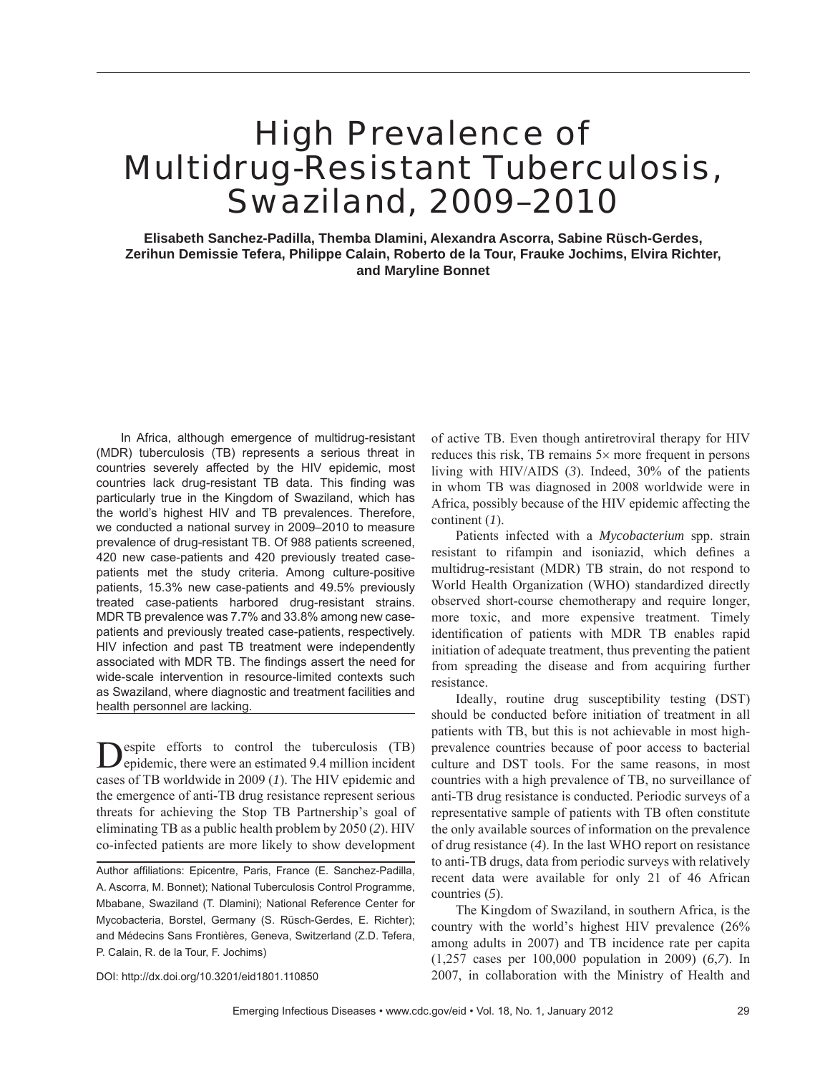# High Prevalence of Multidrug-Resistant Tuberculosis, Swaziland, 2009–2010

**Elisabeth Sanchez-Padilla, Themba Dlamini, Alexandra Ascorra, Sabine Rüsch-Gerdes, Zerihun Demissie Tefera, Philippe Calain, Roberto de la Tour, Frauke Jochims, Elvira Richter, and Maryline Bonnet**

In Africa, although emergence of multidrug-resistant (MDR) tuberculosis (TB) represents a serious threat in countries severely affected by the HIV epidemic, most countries lack drug-resistant TB data. This finding was particularly true in the Kingdom of Swaziland, which has the world's highest HIV and TB prevalences. Therefore, we conducted a national survey in 2009–2010 to measure prevalence of drug-resistant TB. Of 988 patients screened, 420 new case-patients and 420 previously treated casepatients met the study criteria. Among culture-positive patients, 15.3% new case-patients and 49.5% previously treated case-patients harbored drug-resistant strains. MDR TB prevalence was 7.7% and 33.8% among new casepatients and previously treated case-patients, respectively. HIV infection and past TB treatment were independently associated with MDR TB. The findings assert the need for wide-scale intervention in resource-limited contexts such as Swaziland, where diagnostic and treatment facilities and health personnel are lacking.

Despite efforts to control the tuberculosis (TB) epidemic, there were an estimated 9.4 million incident cases of TB worldwide in 2009 (*1*). The HIV epidemic and the emergence of anti-TB drug resistance represent serious threats for achieving the Stop TB Partnership's goal of eliminating TB as a public health problem by 2050 (*2*). HIV co-infected patients are more likely to show development

DOI: http://dx.doi.org/10.3201/eid1801.110850

of active TB. Even though antiretroviral therapy for HIV reduces this risk, TB remains 5× more frequent in persons living with HIV/AIDS (*3*). Indeed, 30% of the patients in whom TB was diagnosed in 2008 worldwide were in Africa, possibly because of the HIV epidemic affecting the continent (*1*).

Patients infected with a *Mycobacterium* spp. strain resistant to rifampin and isoniazid, which defines a multidrug-resistant (MDR) TB strain, do not respond to World Health Organization (WHO) standardized directly observed short-course chemotherapy and require longer, more toxic, and more expensive treatment. Timely identification of patients with MDR TB enables rapid initiation of adequate treatment, thus preventing the patient from spreading the disease and from acquiring further resistance.

Ideally, routine drug susceptibility testing (DST) should be conducted before initiation of treatment in all patients with TB, but this is not achievable in most highprevalence countries because of poor access to bacterial culture and DST tools. For the same reasons, in most countries with a high prevalence of TB, no surveillance of anti-TB drug resistance is conducted. Periodic surveys of a representative sample of patients with TB often constitute the only available sources of information on the prevalence of drug resistance (*4*). In the last WHO report on resistance to anti-TB drugs, data from periodic surveys with relatively recent data were available for only 21 of 46 African countries (*5*).

The Kingdom of Swaziland, in southern Africa, is the country with the world's highest HIV prevalence (26% among adults in 2007) and TB incidence rate per capita (1,257 cases per 100,000 population in 2009) (*6*,*7*). In 2007, in collaboration with the Ministry of Health and

Author affiliations: Epicentre, Paris, France (E. Sanchez-Padilla, A. Ascorra, M. Bonnet); National Tuberculosis Control Programme, Mbabane, Swaziland (T. Dlamini); National Reference Center for Mycobacteria, Borstel, Germany (S. Rüsch-Gerdes, E. Richter); and Médecins Sans Frontières, Geneva, Switzerland (Z.D. Tefera, P. Calain, R. de la Tour, F. Jochims)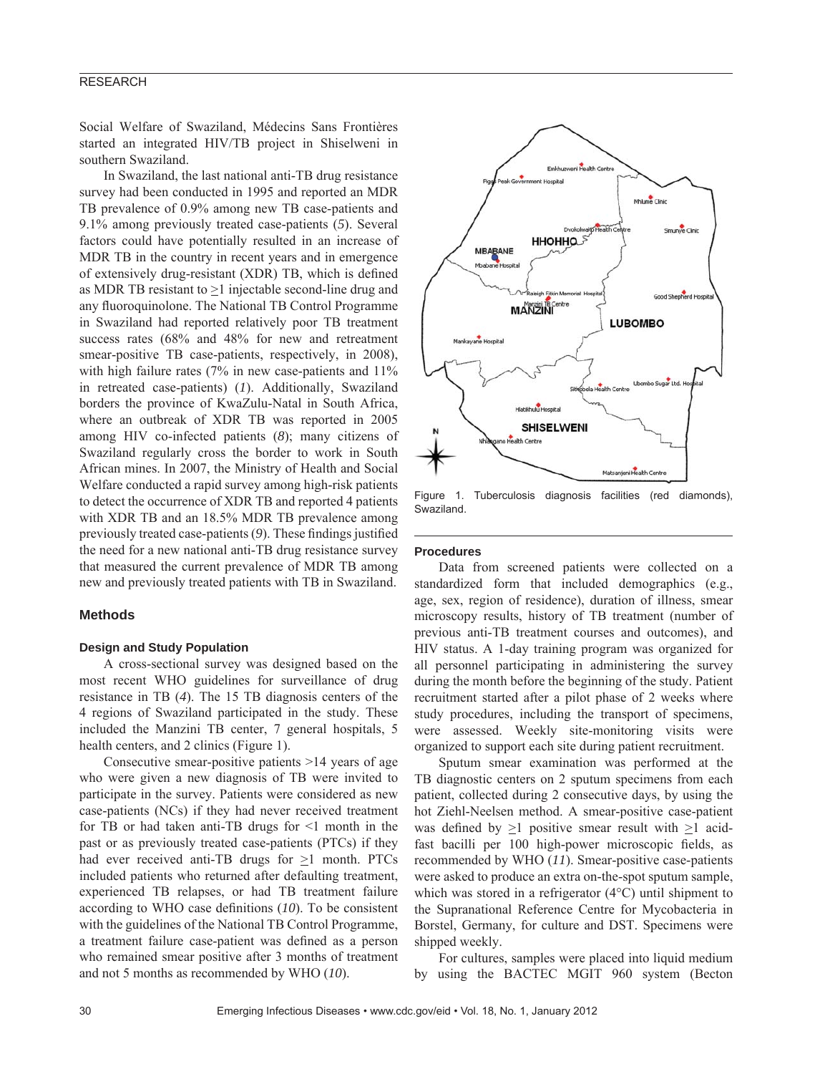Social Welfare of Swaziland, Médecins Sans Frontières started an integrated HIV/TB project in Shiselweni in southern Swaziland.

In Swaziland, the last national anti-TB drug resistance survey had been conducted in 1995 and reported an MDR TB prevalence of 0.9% among new TB case-patients and 9.1% among previously treated case-patients (*5*). Several factors could have potentially resulted in an increase of MDR TB in the country in recent years and in emergence of extensively drug-resistant (XDR) TB, which is defined as MDR TB resistant to >1 injectable second-line drug and any fluoroquinolone. The National TB Control Programme in Swaziland had reported relatively poor TB treatment success rates (68% and 48% for new and retreatment smear-positive TB case-patients, respectively, in 2008), with high failure rates (7% in new case-patients and 11% in retreated case-patients) (*1*). Additionally, Swaziland borders the province of KwaZulu-Natal in South Africa, where an outbreak of XDR TB was reported in 2005 among HIV co-infected patients (*8*); many citizens of Swaziland regularly cross the border to work in South African mines. In 2007, the Ministry of Health and Social Welfare conducted a rapid survey among high-risk patients to detect the occurrence of XDR TB and reported 4 patients with XDR TB and an 18.5% MDR TB prevalence among previously treated case-patients (9). These findings justified the need for a new national anti-TB drug resistance survey that measured the current prevalence of MDR TB among new and previously treated patients with TB in Swaziland.

## **Methods**

## **Design and Study Population**

A cross-sectional survey was designed based on the most recent WHO guidelines for surveillance of drug resistance in TB (*4*). The 15 TB diagnosis centers of the 4 regions of Swaziland participated in the study. These included the Manzini TB center, 7 general hospitals, 5 health centers, and 2 clinics (Figure 1).

Consecutive smear-positive patients >14 years of age who were given a new diagnosis of TB were invited to participate in the survey. Patients were considered as new case-patients (NCs) if they had never received treatment for TB or had taken anti-TB drugs for  $\leq 1$  month in the past or as previously treated case-patients (PTCs) if they had ever received anti-TB drugs for  $>1$  month. PTCs included patients who returned after defaulting treatment, experienced TB relapses, or had TB treatment failure according to WHO case definitions (10). To be consistent with the guidelines of the National TB Control Programme, a treatment failure case-patient was defined as a person who remained smear positive after 3 months of treatment and not 5 months as recommended by WHO (*10*).



Figure 1. Tuberculosis diagnosis facilities (red diamonds), Swaziland.

#### **Procedures**

Data from screened patients were collected on a standardized form that included demographics (e.g., age, sex, region of residence), duration of illness, smear microscopy results, history of TB treatment (number of previous anti-TB treatment courses and outcomes), and HIV status. A 1-day training program was organized for all personnel participating in administering the survey during the month before the beginning of the study. Patient recruitment started after a pilot phase of 2 weeks where study procedures, including the transport of specimens, were assessed. Weekly site-monitoring visits were organized to support each site during patient recruitment.

Sputum smear examination was performed at the TB diagnostic centers on 2 sputum specimens from each patient, collected during 2 consecutive days, by using the hot Ziehl-Neelsen method. A smear-positive case-patient was defined by  $\geq 1$  positive smear result with  $\geq 1$  acidfast bacilli per 100 high-power microscopic fields, as recommended by WHO (*11*). Smear-positive case-patients were asked to produce an extra on-the-spot sputum sample, which was stored in a refrigerator (4°C) until shipment to the Supranational Reference Centre for Mycobacteria in Borstel, Germany, for culture and DST. Specimens were shipped weekly.

For cultures, samples were placed into liquid medium by using the BACTEC MGIT 960 system (Becton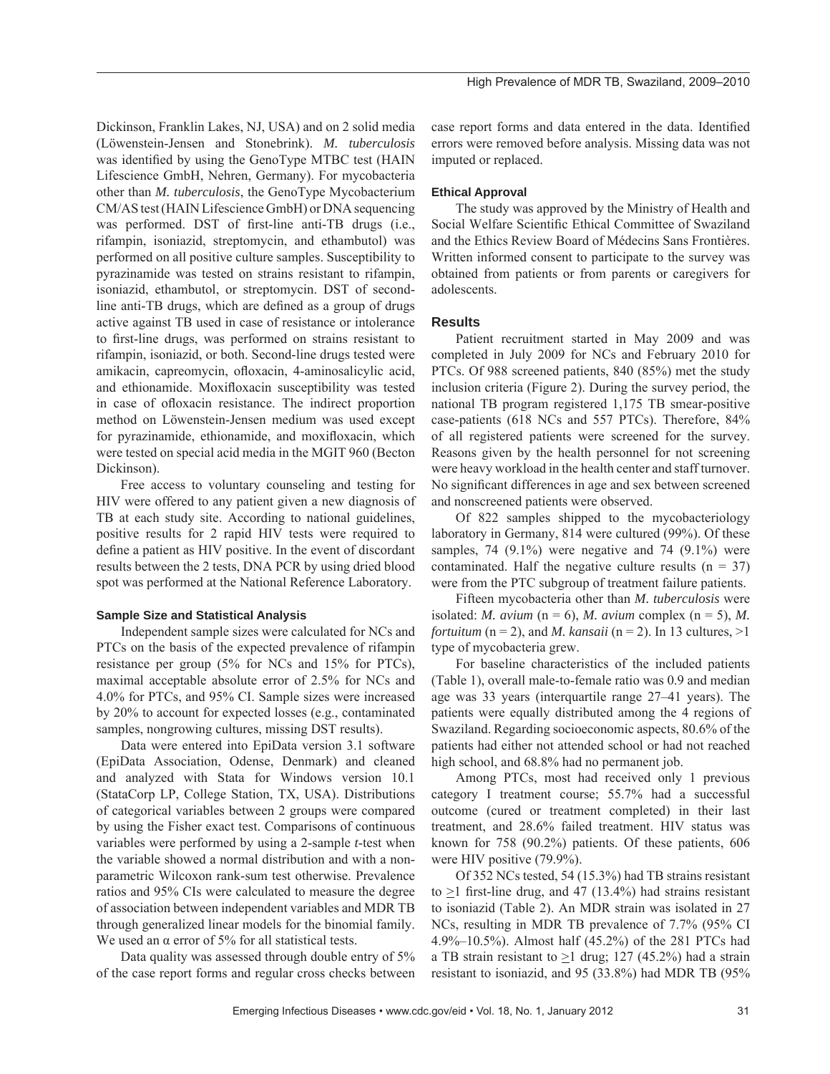Dickinson, Franklin Lakes, NJ, USA) and on 2 solid media (Löwenstein-Jensen and Stonebrink). *M. tuberculosis* was identified by using the GenoType MTBC test (HAIN Lifescience GmbH, Nehren, Germany). For mycobacteria other than *M. tuberculosis*, the GenoType Mycobacterium CM/AS test (HAIN Lifescience GmbH) or DNA sequencing was performed. DST of first-line anti-TB drugs (i.e., rifampin, isoniazid, streptomycin, and ethambutol) was performed on all positive culture samples. Susceptibility to pyrazinamide was tested on strains resistant to rifampin, isoniazid, ethambutol, or streptomycin. DST of secondline anti-TB drugs, which are defined as a group of drugs active against TB used in case of resistance or intolerance to first-line drugs, was performed on strains resistant to rifampin, isoniazid, or both. Second-line drugs tested were amikacin, capreomycin, ofloxacin, 4-aminosalicylic acid, and ethionamide. Moxifloxacin susceptibility was tested in case of ofloxacin resistance. The indirect proportion method on Löwenstein-Jensen medium was used except for pyrazinamide, ethionamide, and moxifloxacin, which were tested on special acid media in the MGIT 960 (Becton Dickinson).

Free access to voluntary counseling and testing for HIV were offered to any patient given a new diagnosis of TB at each study site. According to national guidelines, positive results for 2 rapid HIV tests were required to define a patient as HIV positive. In the event of discordant results between the 2 tests, DNA PCR by using dried blood spot was performed at the National Reference Laboratory.

## **Sample Size and Statistical Analysis**

Independent sample sizes were calculated for NCs and PTCs on the basis of the expected prevalence of rifampin resistance per group (5% for NCs and 15% for PTCs), maximal acceptable absolute error of 2.5% for NCs and 4.0% for PTCs, and 95% CI. Sample sizes were increased by 20% to account for expected losses (e.g., contaminated samples, nongrowing cultures, missing DST results).

Data were entered into EpiData version 3.1 software (EpiData Association, Odense, Denmark) and cleaned and analyzed with Stata for Windows version 10.1 (StataCorp LP, College Station, TX, USA). Distributions of categorical variables between 2 groups were compared by using the Fisher exact test. Comparisons of continuous variables were performed by using a 2-sample *t*-test when the variable showed a normal distribution and with a nonparametric Wilcoxon rank-sum test otherwise. Prevalence ratios and 95% CIs were calculated to measure the degree of association between independent variables and MDR TB through generalized linear models for the binomial family. We used an  $\alpha$  error of 5% for all statistical tests.

Data quality was assessed through double entry of 5% of the case report forms and regular cross checks between case report forms and data entered in the data. Identified errors were removed before analysis. Missing data was not imputed or replaced.

## **Ethical Approval**

The study was approved by the Ministry of Health and Social Welfare Scientific Ethical Committee of Swaziland and the Ethics Review Board of Médecins Sans Frontières. Written informed consent to participate to the survey was obtained from patients or from parents or caregivers for adolescents.

## **Results**

Patient recruitment started in May 2009 and was completed in July 2009 for NCs and February 2010 for PTCs. Of 988 screened patients, 840 (85%) met the study inclusion criteria (Figure 2). During the survey period, the national TB program registered 1,175 TB smear-positive case-patients (618 NCs and 557 PTCs). Therefore, 84% of all registered patients were screened for the survey. Reasons given by the health personnel for not screening were heavy workload in the health center and staff turnover. No significant differences in age and sex between screened and nonscreened patients were observed.

Of 822 samples shipped to the mycobacteriology laboratory in Germany, 814 were cultured (99%). Of these samples, 74  $(9.1\%)$  were negative and 74  $(9.1\%)$  were contaminated. Half the negative culture results  $(n = 37)$ were from the PTC subgroup of treatment failure patients.

Fifteen mycobacteria other than *M. tuberculosis* were isolated: *M. avium* ( $n = 6$ ), *M. avium* complex ( $n = 5$ ), *M. fortuitum* ( $n = 2$ ), and *M. kansaii* ( $n = 2$ ). In 13 cultures,  $>1$ type of mycobacteria grew.

For baseline characteristics of the included patients (Table 1), overall male-to-female ratio was 0.9 and median age was 33 years (interquartile range 27–41 years). The patients were equally distributed among the 4 regions of Swaziland. Regarding socioeconomic aspects, 80.6% of the patients had either not attended school or had not reached high school, and 68.8% had no permanent job.

Among PTCs, most had received only 1 previous category I treatment course; 55.7% had a successful outcome (cured or treatment completed) in their last treatment, and 28.6% failed treatment. HIV status was known for 758 (90.2%) patients. Of these patients, 606 were HIV positive (79.9%).

Of 352 NCs tested, 54 (15.3%) had TB strains resistant to  $>1$  first-line drug, and 47 (13.4%) had strains resistant to isoniazid (Table 2). An MDR strain was isolated in 27 NCs, resulting in MDR TB prevalence of 7.7% (95% CI 4.9%–10.5%). Almost half (45.2%) of the 281 PTCs had a TB strain resistant to  $>1$  drug; 127 (45.2%) had a strain resistant to isoniazid, and 95 (33.8%) had MDR TB (95%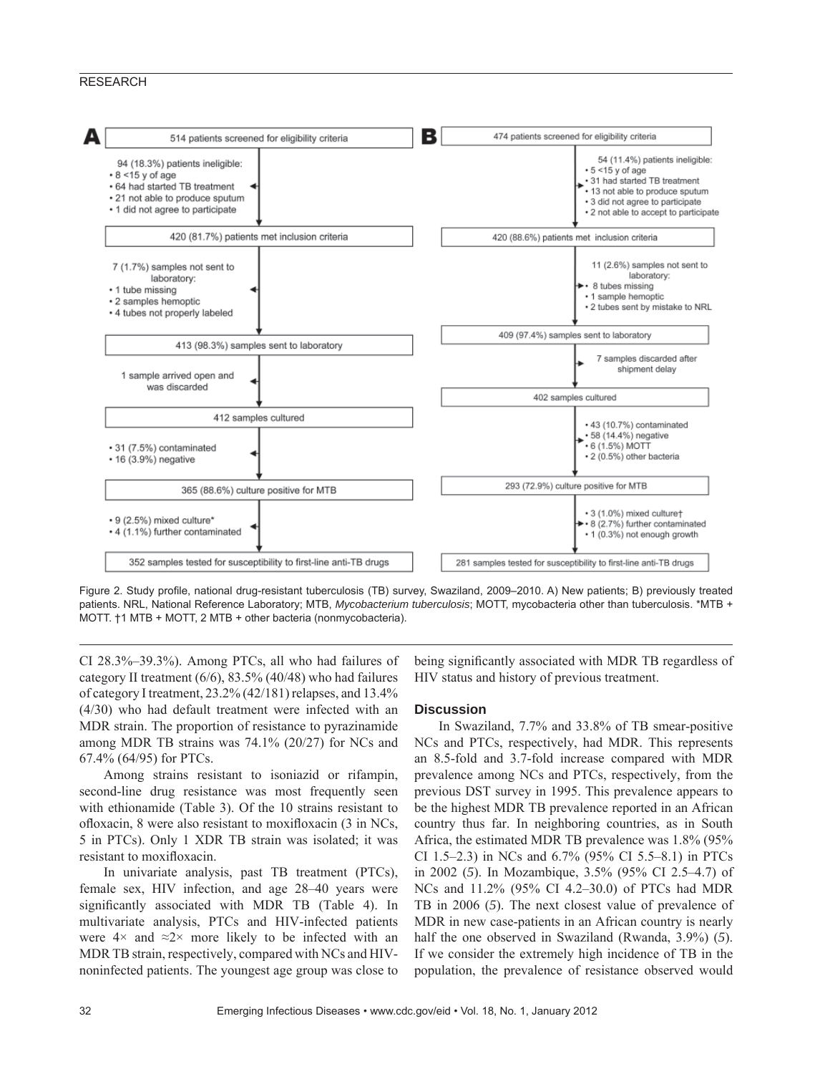

Figure 2. Study profile, national drug-resistant tuberculosis (TB) survey, Swaziland, 2009–2010. A) New patients; B) previously treated patients. NRL, National Reference Laboratory; MTB, *Mycobacterium tuberculosis*; MOTT, mycobacteria other than tuberculosis. \*MTB + MOTT. †1 MTB + MOTT, 2 MTB + other bacteria (nonmycobacteria).

CI 28.3%–39.3%). Among PTCs, all who had failures of category II treatment (6/6), 83.5% (40/48) who had failures of category I treatment, 23.2% (42/181) relapses, and 13.4% (4/30) who had default treatment were infected with an MDR strain. The proportion of resistance to pyrazinamide among MDR TB strains was 74.1% (20/27) for NCs and 67.4% (64/95) for PTCs.

Among strains resistant to isoniazid or rifampin, second-line drug resistance was most frequently seen with ethionamide (Table 3). Of the 10 strains resistant to ofloxacin, 8 were also resistant to moxifloxacin (3 in NCs, 5 in PTCs). Only 1 XDR TB strain was isolated; it was resistant to moxifloxacin.

In univariate analysis, past TB treatment (PTCs), female sex, HIV infection, and age 28–40 years were significantly associated with MDR TB (Table 4). In multivariate analysis, PTCs and HIV-infected patients were  $4 \times$  and  $\approx 2 \times$  more likely to be infected with an MDR TB strain, respectively, compared with NCs and HIVnoninfected patients. The youngest age group was close to being significantly associated with MDR TB regardless of HIV status and history of previous treatment.

## **Discussion**

In Swaziland, 7.7% and 33.8% of TB smear-positive NCs and PTCs, respectively, had MDR. This represents an 8.5-fold and 3.7-fold increase compared with MDR prevalence among NCs and PTCs, respectively, from the previous DST survey in 1995. This prevalence appears to be the highest MDR TB prevalence reported in an African country thus far. In neighboring countries, as in South Africa, the estimated MDR TB prevalence was 1.8% (95% CI 1.5–2.3) in NCs and 6.7% (95% CI 5.5–8.1) in PTCs in 2002 (*5*). In Mozambique, 3.5% (95% CI 2.5–4.7) of NCs and 11.2% (95% CI 4.2–30.0) of PTCs had MDR TB in 2006 (*5*). The next closest value of prevalence of MDR in new case-patients in an African country is nearly half the one observed in Swaziland (Rwanda, 3.9%) (*5*). If we consider the extremely high incidence of TB in the population, the prevalence of resistance observed would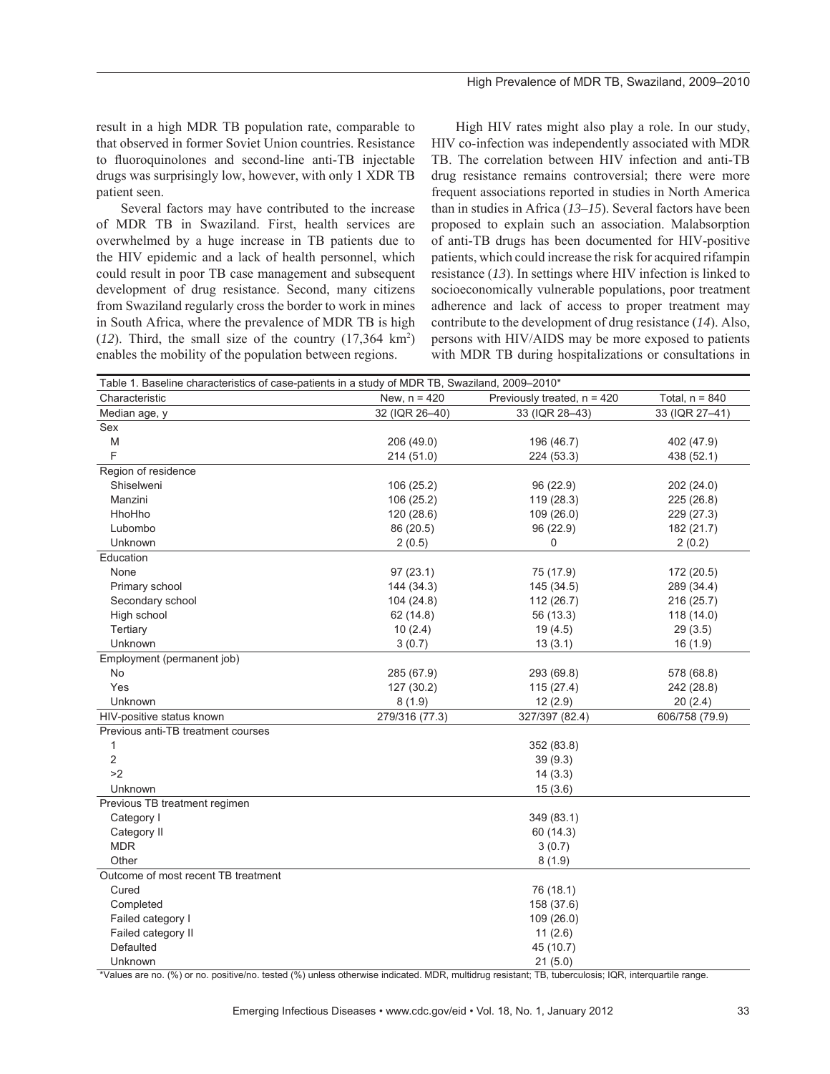result in a high MDR TB population rate, comparable to that observed in former Soviet Union countries. Resistance to fluoroquinolones and second-line anti-TB injectable drugs was surprisingly low, however, with only 1 XDR TB patient seen.

Several factors may have contributed to the increase of MDR TB in Swaziland. First, health services are overwhelmed by a huge increase in TB patients due to the HIV epidemic and a lack of health personnel, which could result in poor TB case management and subsequent development of drug resistance. Second, many citizens from Swaziland regularly cross the border to work in mines in South Africa, where the prevalence of MDR TB is high  $(12)$ . Third, the small size of the country  $(17,364 \text{ km}^2)$ enables the mobility of the population between regions.

High HIV rates might also play a role. In our study, HIV co-infection was independently associated with MDR TB. The correlation between HIV infection and anti-TB drug resistance remains controversial; there were more frequent associations reported in studies in North America than in studies in Africa (*13*–*15*). Several factors have been proposed to explain such an association. Malabsorption of anti-TB drugs has been documented for HIV-positive patients, which could increase the risk for acquired rifampin resistance (*13*). In settings where HIV infection is linked to socioeconomically vulnerable populations, poor treatment adherence and lack of access to proper treatment may contribute to the development of drug resistance (*14*). Also, persons with HIV/AIDS may be more exposed to patients with MDR TB during hospitalizations or consultations in

| Table 1. Baseline characteristics of case-patients in a study of MDR TB, Swaziland, 2009-2010* |                |                               |                  |  |
|------------------------------------------------------------------------------------------------|----------------|-------------------------------|------------------|--|
| Characteristic                                                                                 | New, $n = 420$ | Previously treated, $n = 420$ | Total, $n = 840$ |  |
| Median age, y                                                                                  | 32 (IQR 26-40) | 33 (IQR 28-43)                | 33 (IQR 27-41)   |  |
| Sex                                                                                            |                |                               |                  |  |
| M                                                                                              | 206 (49.0)     | 196 (46.7)                    | 402 (47.9)       |  |
| F                                                                                              | 214 (51.0)     | 224 (53.3)                    | 438 (52.1)       |  |
| Region of residence                                                                            |                |                               |                  |  |
| Shiselweni                                                                                     | 106 (25.2)     | 96 (22.9)                     | 202 (24.0)       |  |
| Manzini                                                                                        | 106 (25.2)     | 119 (28.3)                    | 225 (26.8)       |  |
| HhoHho                                                                                         | 120 (28.6)     | 109 (26.0)                    | 229 (27.3)       |  |
| Lubombo                                                                                        | 86 (20.5)      | 96 (22.9)                     | 182 (21.7)       |  |
| Unknown                                                                                        | 2(0.5)         | 0                             | 2(0.2)           |  |
| Education                                                                                      |                |                               |                  |  |
| None                                                                                           | 97(23.1)       | 75 (17.9)                     | 172 (20.5)       |  |
| Primary school                                                                                 | 144 (34.3)     | 145 (34.5)                    | 289 (34.4)       |  |
| Secondary school                                                                               | 104 (24.8)     | 112 (26.7)                    | 216 (25.7)       |  |
| High school                                                                                    | 62 (14.8)      | 56 (13.3)                     | 118(14.0)        |  |
| Tertiary                                                                                       | 10(2.4)        | 19(4.5)                       | 29(3.5)          |  |
| Unknown                                                                                        | 3(0.7)         | 13(3.1)                       | 16(1.9)          |  |
| Employment (permanent job)                                                                     |                |                               |                  |  |
| <b>No</b>                                                                                      | 285 (67.9)     | 293 (69.8)                    | 578 (68.8)       |  |
| Yes                                                                                            | 127 (30.2)     | 115(27.4)                     | 242 (28.8)       |  |
| Unknown                                                                                        | 8(1.9)         | 12(2.9)                       | 20(2.4)          |  |
| HIV-positive status known                                                                      | 279/316 (77.3) | 327/397 (82.4)                | 606/758 (79.9)   |  |
| Previous anti-TB treatment courses                                                             |                |                               |                  |  |
| $\mathbf{1}$                                                                                   |                | 352 (83.8)                    |                  |  |
| 2                                                                                              |                | 39(9.3)                       |                  |  |
| >2                                                                                             |                | 14(3.3)                       |                  |  |
| Unknown                                                                                        | 15(3.6)        |                               |                  |  |
| Previous TB treatment regimen                                                                  |                |                               |                  |  |
| Category I                                                                                     |                | 349 (83.1)                    |                  |  |
| Category II                                                                                    |                | 60 (14.3)                     |                  |  |
| <b>MDR</b>                                                                                     |                | 3(0.7)                        |                  |  |
| Other                                                                                          |                | 8(1.9)                        |                  |  |
| Outcome of most recent TB treatment                                                            |                |                               |                  |  |
| Cured                                                                                          |                | 76 (18.1)                     |                  |  |
| Completed                                                                                      |                | 158 (37.6)                    |                  |  |
| Failed category I                                                                              |                | 109(26.0)                     |                  |  |
| Failed category II                                                                             |                | 11(2.6)                       |                  |  |
| Defaulted                                                                                      |                | 45 (10.7)                     |                  |  |
| Unknown                                                                                        |                | 21(5.0)                       |                  |  |

\*Values are no. (%) or no. positive/no. tested (%) unless otherwise indicated. MDR, multidrug resistant; TB, tuberculosis; IQR, interquartile range.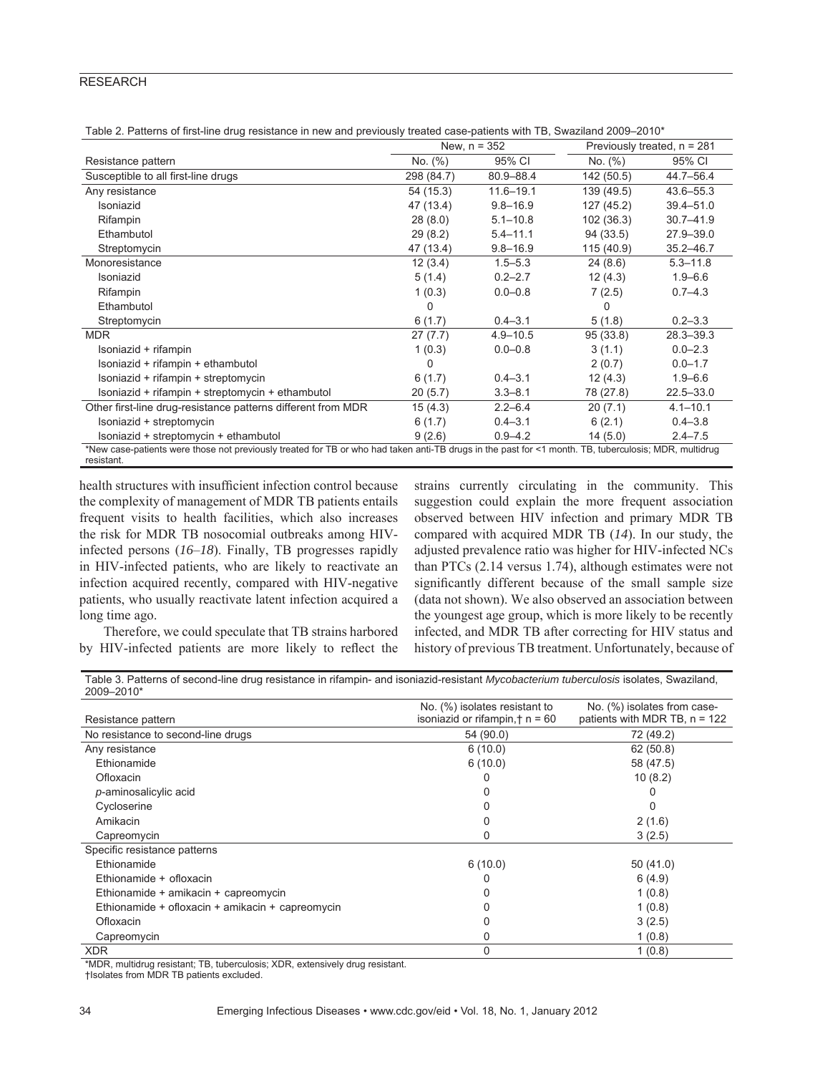|                                                                                                                                                                     | New, $n = 352$ |               | Previously treated, $n = 281$ |               |
|---------------------------------------------------------------------------------------------------------------------------------------------------------------------|----------------|---------------|-------------------------------|---------------|
| Resistance pattern                                                                                                                                                  | No. (%)        | 95% CI        | No. (%)                       | 95% CI        |
| Susceptible to all first-line drugs                                                                                                                                 | 298 (84.7)     | 80.9-88.4     | 142 (50.5)                    | 44.7-56.4     |
| Any resistance                                                                                                                                                      | 54 (15.3)      | $11.6 - 19.1$ | 139 (49.5)                    | $43.6 - 55.3$ |
| Isoniazid                                                                                                                                                           | 47 (13.4)      | $9.8 - 16.9$  | 127 (45.2)                    | $39.4 - 51.0$ |
| Rifampin                                                                                                                                                            | 28(8.0)        | $5.1 - 10.8$  | 102 (36.3)                    | $30.7 - 41.9$ |
| Ethambutol                                                                                                                                                          | 29(8.2)        | $5.4 - 11.1$  | 94 (33.5)                     | $27.9 - 39.0$ |
| Streptomycin                                                                                                                                                        | 47 (13.4)      | $9.8 - 16.9$  | 115 (40.9)                    | $35.2 - 46.7$ |
| Monoresistance                                                                                                                                                      | 12(3.4)        | $1.5 - 5.3$   | 24(8.6)                       | $5.3 - 11.8$  |
| Isoniazid                                                                                                                                                           | 5(1.4)         | $0.2 - 2.7$   | 12(4.3)                       | $1.9 - 6.6$   |
| Rifampin                                                                                                                                                            | 1(0.3)         | $0.0 - 0.8$   | 7(2.5)                        | $0.7 - 4.3$   |
| Ethambutol                                                                                                                                                          | 0              |               | $\Omega$                      |               |
| Streptomycin                                                                                                                                                        | 6(1.7)         | $0.4 - 3.1$   | 5(1.8)                        | $0.2 - 3.3$   |
| <b>MDR</b>                                                                                                                                                          | 27(7.7)        | $4.9 - 10.5$  | 95 (33.8)                     | $28.3 - 39.3$ |
| Isoniazid + rifampin                                                                                                                                                | 1(0.3)         | $0.0 - 0.8$   | 3(1.1)                        | $0.0 - 2.3$   |
| Isoniazid + rifampin + ethambutol                                                                                                                                   | 0              |               | 2(0.7)                        | $0.0 - 1.7$   |
| Isoniazid + rifampin + streptomycin                                                                                                                                 | 6(1.7)         | $0.4 - 3.1$   | 12(4.3)                       | $1.9 - 6.6$   |
| Isoniazid + rifampin + streptomycin + ethambutol                                                                                                                    | 20(5.7)        | $3.3 - 8.1$   | 78 (27.8)                     | $22.5 - 33.0$ |
| Other first-line drug-resistance patterns different from MDR                                                                                                        | 15(4.3)        | $2.2 - 6.4$   | 20(7.1)                       | $4.1 - 10.1$  |
| Isoniazid + streptomycin                                                                                                                                            | 6(1.7)         | $0.4 - 3.1$   | 6(2.1)                        | $0.4 - 3.8$   |
| Isoniazid + streptomycin + ethambutol                                                                                                                               | 9(2.6)         | $0.9 - 4.2$   | 14(5.0)                       | $2.4 - 7.5$   |
| *New case-patients were those not previously treated for TB or who had taken anti-TB drugs in the past for <1 month. TB, tuberculosis; MDR, multidrug<br>resistant. |                |               |                               |               |

health structures with insufficient infection control because the complexity of management of MDR TB patients entails frequent visits to health facilities, which also increases the risk for MDR TB nosocomial outbreaks among HIVinfected persons (*16*–*18*). Finally, TB progresses rapidly in HIV-infected patients, who are likely to reactivate an infection acquired recently, compared with HIV-negative patients, who usually reactivate latent infection acquired a long time ago.

strains currently circulating in the community. This suggestion could explain the more frequent association observed between HIV infection and primary MDR TB compared with acquired MDR TB (*14*). In our study, the adjusted prevalence ratio was higher for HIV-infected NCs than PTCs (2.14 versus 1.74), although estimates were not significantly different because of the small sample size (data not shown). We also observed an association between the youngest age group, which is more likely to be recently infected, and MDR TB after correcting for HIV status and history of previous TB treatment. Unfortunately, because of

Therefore, we could speculate that TB strains harbored by HIV-infected patients are more likely to reflect the

| Table 3. Patterns of second-line drug resistance in rifampin- and isoniazid-resistant Mycobacterium tuberculosis isolates, Swaziland, |  |
|---------------------------------------------------------------------------------------------------------------------------------------|--|
| 2009-2010*                                                                                                                            |  |

| Resistance pattern                               | No. (%) isolates resistant to<br>isoniazid or rifampin, $\dagger$ n = 60 | No. (%) isolates from case-<br>patients with MDR TB, $n = 122$ |
|--------------------------------------------------|--------------------------------------------------------------------------|----------------------------------------------------------------|
| No resistance to second-line drugs               | 54 (90.0)                                                                | 72 (49.2)                                                      |
| Any resistance                                   | 6(10.0)                                                                  | 62(50.8)                                                       |
| Ethionamide                                      | 6(10.0)                                                                  | 58 (47.5)                                                      |
| Ofloxacin                                        |                                                                          | 10(8.2)                                                        |
| p-aminosalicylic acid                            |                                                                          |                                                                |
| Cycloserine                                      |                                                                          |                                                                |
| Amikacin                                         |                                                                          | 2(1.6)                                                         |
| Capreomycin                                      | 0                                                                        | 3(2.5)                                                         |
| Specific resistance patterns                     |                                                                          |                                                                |
| Ethionamide                                      | 6(10.0)                                                                  | 50(41.0)                                                       |
| Ethionamide + ofloxacin                          |                                                                          | 6(4.9)                                                         |
| Ethionamide + amikacin + capreomycin             |                                                                          | 1(0.8)                                                         |
| Ethionamide + ofloxacin + amikacin + capreomycin |                                                                          | 1(0.8)                                                         |
| Ofloxacin                                        |                                                                          | 3(2.5)                                                         |
| Capreomycin                                      | 0                                                                        | 1(0.8)                                                         |
| <b>XDR</b>                                       | 0                                                                        | 1(0.8)                                                         |

\*MDR, multidrug resistant; TB, tuberculosis; XDR, extensively drug resistant.

†Isolates from MDR TB patients excluded.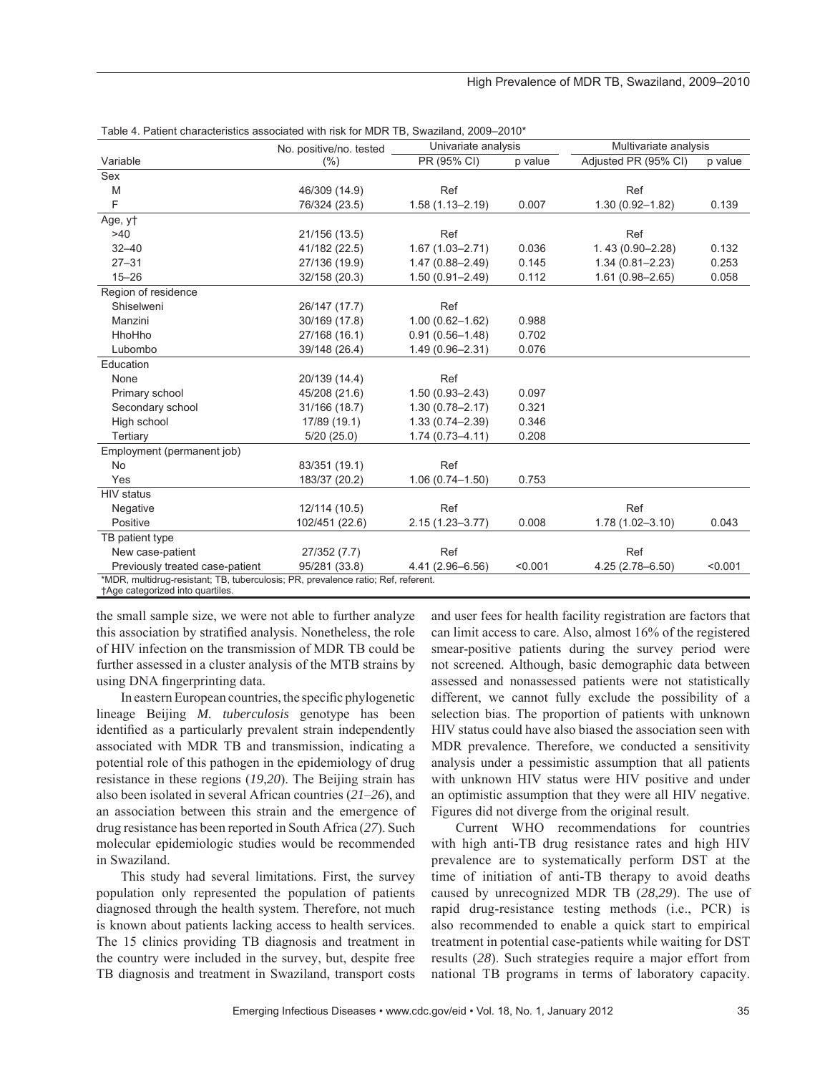|                                                                                   | No. positive/no. tested | Univariate analysis |         | Multivariate analysis |         |
|-----------------------------------------------------------------------------------|-------------------------|---------------------|---------|-----------------------|---------|
| Variable                                                                          | (% )                    | PR (95% CI)         | p value | Adjusted PR (95% CI)  | p value |
| Sex                                                                               |                         |                     |         |                       |         |
| M                                                                                 | 46/309 (14.9)           | Ref                 |         | Ref                   |         |
| F                                                                                 | 76/324 (23.5)           | $1.58(1.13 - 2.19)$ | 0.007   | $1.30(0.92 - 1.82)$   | 0.139   |
| Age, yt                                                                           |                         |                     |         |                       |         |
| >40                                                                               | 21/156 (13.5)           | Ref                 |         | Ref                   |         |
| $32 - 40$                                                                         | 41/182 (22.5)           | $1.67(1.03 - 2.71)$ | 0.036   | $1.43(0.90 - 2.28)$   | 0.132   |
| $27 - 31$                                                                         | 27/136 (19.9)           | $1.47(0.88 - 2.49)$ | 0.145   | $1.34(0.81 - 2.23)$   | 0.253   |
| $15 - 26$                                                                         | 32/158 (20.3)           | $1.50(0.91 - 2.49)$ | 0.112   | $1.61(0.98 - 2.65)$   | 0.058   |
| Region of residence                                                               |                         |                     |         |                       |         |
| Shiselweni                                                                        | 26/147 (17.7)           | Ref                 |         |                       |         |
| Manzini                                                                           | 30/169 (17.8)           | $1.00(0.62 - 1.62)$ | 0.988   |                       |         |
| HhoHho                                                                            | 27/168 (16.1)           | $0.91(0.56 - 1.48)$ | 0.702   |                       |         |
| Lubombo                                                                           | 39/148 (26.4)           | 1.49 (0.96-2.31)    | 0.076   |                       |         |
| Education                                                                         |                         |                     |         |                       |         |
| None                                                                              | 20/139 (14.4)           | Ref                 |         |                       |         |
| Primary school                                                                    | 45/208 (21.6)           | $1.50(0.93 - 2.43)$ | 0.097   |                       |         |
| Secondary school                                                                  | 31/166 (18.7)           | $1.30(0.78 - 2.17)$ | 0.321   |                       |         |
| High school                                                                       | 17/89 (19.1)            | $1.33(0.74 - 2.39)$ | 0.346   |                       |         |
| Tertiary                                                                          | 5/20(25.0)              | $1.74(0.73 - 4.11)$ | 0.208   |                       |         |
| Employment (permanent job)                                                        |                         |                     |         |                       |         |
| <b>No</b>                                                                         | 83/351 (19.1)           | Ref                 |         |                       |         |
| Yes                                                                               | 183/37 (20.2)           | $1.06(0.74 - 1.50)$ | 0.753   |                       |         |
| <b>HIV</b> status                                                                 |                         |                     |         |                       |         |
| Negative                                                                          | 12/114 (10.5)           | Ref                 |         | Ref                   |         |
| Positive                                                                          | 102/451 (22.6)          | $2.15(1.23 - 3.77)$ | 0.008   | $1.78(1.02 - 3.10)$   | 0.043   |
| TB patient type                                                                   |                         |                     |         |                       |         |
| New case-patient                                                                  | 27/352 (7.7)            | Ref                 |         | Ref                   |         |
| Previously treated case-patient                                                   | 95/281 (33.8)           | 4.41 (2.96-6.56)    | < 0.001 | $4.25(2.78 - 6.50)$   | < 0.001 |
| *MDR, multidrug-resistant; TB, tuberculosis; PR, prevalence ratio; Ref, referent. |                         |                     |         |                       |         |

| Table 4. Patient characteristics associated with risk for MDR TB, Swaziland, 2009–2010* |  |
|-----------------------------------------------------------------------------------------|--|
|-----------------------------------------------------------------------------------------|--|

†Age categorized into quartiles.

the small sample size, we were not able to further analyze this association by stratified analysis. Nonetheless, the role of HIV infection on the transmission of MDR TB could be further assessed in a cluster analysis of the MTB strains by using DNA fingerprinting data.

In eastern European countries, the specific phylogenetic lineage Beijing *M. tuberculosis* genotype has been identified as a particularly prevalent strain independently associated with MDR TB and transmission, indicating a potential role of this pathogen in the epidemiology of drug resistance in these regions (*19*,*20*). The Beijing strain has also been isolated in several African countries (*21*–*26*), and an association between this strain and the emergence of drug resistance has been reported in South Africa (*27*). Such molecular epidemiologic studies would be recommended in Swaziland.

This study had several limitations. First, the survey population only represented the population of patients diagnosed through the health system. Therefore, not much is known about patients lacking access to health services. The 15 clinics providing TB diagnosis and treatment in the country were included in the survey, but, despite free TB diagnosis and treatment in Swaziland, transport costs

and user fees for health facility registration are factors that can limit access to care. Also, almost 16% of the registered smear-positive patients during the survey period were not screened. Although, basic demographic data between assessed and nonassessed patients were not statistically different, we cannot fully exclude the possibility of a selection bias. The proportion of patients with unknown HIV status could have also biased the association seen with MDR prevalence. Therefore, we conducted a sensitivity analysis under a pessimistic assumption that all patients with unknown HIV status were HIV positive and under an optimistic assumption that they were all HIV negative. Figures did not diverge from the original result.

Current WHO recommendations for countries with high anti-TB drug resistance rates and high HIV prevalence are to systematically perform DST at the time of initiation of anti-TB therapy to avoid deaths caused by unrecognized MDR TB (*28*,*29*). The use of rapid drug-resistance testing methods (i.e., PCR) is also recommended to enable a quick start to empirical treatment in potential case-patients while waiting for DST results (*28*). Such strategies require a major effort from national TB programs in terms of laboratory capacity.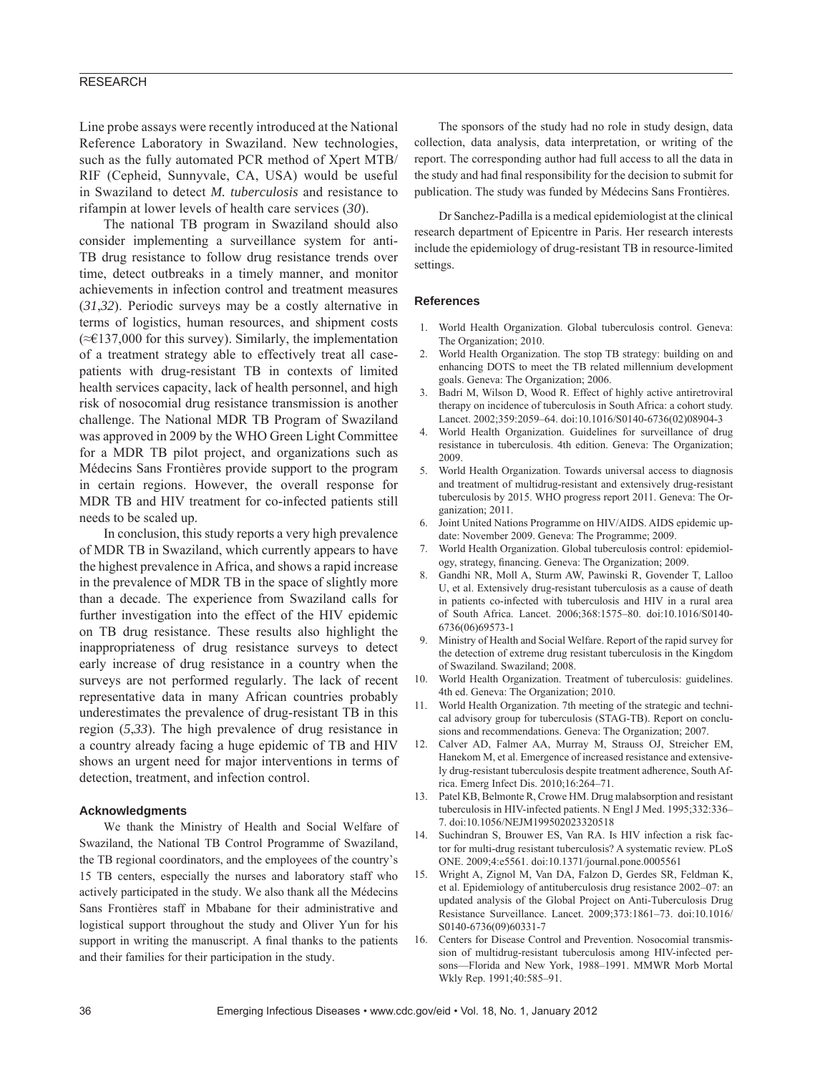Line probe assays were recently introduced at the National Reference Laboratory in Swaziland. New technologies, such as the fully automated PCR method of Xpert MTB/ RIF (Cepheid, Sunnyvale, CA, USA) would be useful in Swaziland to detect *M. tuberculosis* and resistance to rifampin at lower levels of health care services (*30*).

The national TB program in Swaziland should also consider implementing a surveillance system for anti-TB drug resistance to follow drug resistance trends over time, detect outbreaks in a timely manner, and monitor achievements in infection control and treatment measures (*31*,*32*). Periodic surveys may be a costly alternative in terms of logistics, human resources, and shipment costs (≈€137,000 for this survey). Similarly, the implementation of a treatment strategy able to effectively treat all casepatients with drug-resistant TB in contexts of limited health services capacity, lack of health personnel, and high risk of nosocomial drug resistance transmission is another challenge. The National MDR TB Program of Swaziland was approved in 2009 by the WHO Green Light Committee for a MDR TB pilot project, and organizations such as Médecins Sans Frontières provide support to the program in certain regions. However, the overall response for MDR TB and HIV treatment for co-infected patients still needs to be scaled up.

In conclusion, this study reports a very high prevalence of MDR TB in Swaziland, which currently appears to have the highest prevalence in Africa, and shows a rapid increase in the prevalence of MDR TB in the space of slightly more than a decade. The experience from Swaziland calls for further investigation into the effect of the HIV epidemic on TB drug resistance. These results also highlight the inappropriateness of drug resistance surveys to detect early increase of drug resistance in a country when the surveys are not performed regularly. The lack of recent representative data in many African countries probably underestimates the prevalence of drug-resistant TB in this region (*5*,*33*). The high prevalence of drug resistance in a country already facing a huge epidemic of TB and HIV shows an urgent need for major interventions in terms of detection, treatment, and infection control.

#### **Acknowledgments**

We thank the Ministry of Health and Social Welfare of Swaziland, the National TB Control Programme of Swaziland, the TB regional coordinators, and the employees of the country's 15 TB centers, especially the nurses and laboratory staff who actively participated in the study. We also thank all the Médecins Sans Frontières staff in Mbabane for their administrative and logistical support throughout the study and Oliver Yun for his support in writing the manuscript. A final thanks to the patients and their families for their participation in the study.

The sponsors of the study had no role in study design, data collection, data analysis, data interpretation, or writing of the report. The corresponding author had full access to all the data in the study and had final responsibility for the decision to submit for publication. The study was funded by Médecins Sans Frontières.

Dr Sanchez-Padilla is a medical epidemiologist at the clinical research department of Epicentre in Paris. Her research interests include the epidemiology of drug-resistant TB in resource-limited settings.

## **References**

- 1. World Health Organization. Global tuberculosis control. Geneva: The Organization; 2010.
- 2. World Health Organization. The stop TB strategy: building on and enhancing DOTS to meet the TB related millennium development goals. Geneva: The Organization; 2006.
- 3. Badri M, Wilson D, Wood R. Effect of highly active antiretroviral therapy on incidence of tuberculosis in South Africa: a cohort study. Lancet. 2002;359:2059–64. doi:10.1016/S0140-6736(02)08904-3
- 4. World Health Organization. Guidelines for surveillance of drug resistance in tuberculosis. 4th edition. Geneva: The Organization; 2009.
- 5. World Health Organization. Towards universal access to diagnosis and treatment of multidrug-resistant and extensively drug-resistant tuberculosis by 2015. WHO progress report 2011. Geneva: The Organization; 2011.
- 6. Joint United Nations Programme on HIV/AIDS. AIDS epidemic update: November 2009. Geneva: The Programme; 2009.
- 7. World Health Organization. Global tuberculosis control: epidemiology, strategy, financing. Geneva: The Organization; 2009.
- 8. Gandhi NR, Moll A, Sturm AW, Pawinski R, Govender T, Lalloo U, et al. Extensively drug-resistant tuberculosis as a cause of death in patients co-infected with tuberculosis and HIV in a rural area of South Africa. Lancet. 2006;368:1575–80. doi:10.1016/S0140- 6736(06)69573-1
- 9. Ministry of Health and Social Welfare. Report of the rapid survey for the detection of extreme drug resistant tuberculosis in the Kingdom of Swaziland. Swaziland; 2008.
- 10. World Health Organization. Treatment of tuberculosis: guidelines. 4th ed. Geneva: The Organization; 2010.
- World Health Organization. 7th meeting of the strategic and technical advisory group for tuberculosis (STAG-TB). Report on conclusions and recommendations. Geneva: The Organization; 2007.
- 12. Calver AD, Falmer AA, Murray M, Strauss OJ, Streicher EM, Hanekom M, et al. Emergence of increased resistance and extensively drug-resistant tuberculosis despite treatment adherence, South Africa. Emerg Infect Dis. 2010;16:264–71.
- 13. Patel KB, Belmonte R, Crowe HM. Drug malabsorption and resistant tuberculosis in HIV-infected patients. N Engl J Med. 1995;332:336– 7. doi:10.1056/NEJM199502023320518
- 14. Suchindran S, Brouwer ES, Van RA. Is HIV infection a risk factor for multi-drug resistant tuberculosis? A systematic review. PLoS ONE. 2009;4:e5561. doi:10.1371/journal.pone.0005561
- 15. Wright A, Zignol M, Van DA, Falzon D, Gerdes SR, Feldman K, et al. Epidemiology of antituberculosis drug resistance 2002–07: an updated analysis of the Global Project on Anti-Tuberculosis Drug Resistance Surveillance. Lancet. 2009;373:1861–73. doi:10.1016/ S0140-6736(09)60331-7
- 16. Centers for Disease Control and Prevention. Nosocomial transmission of multidrug-resistant tuberculosis among HIV-infected persons—Florida and New York, 1988–1991. MMWR Morb Mortal Wkly Rep. 1991;40:585–91.